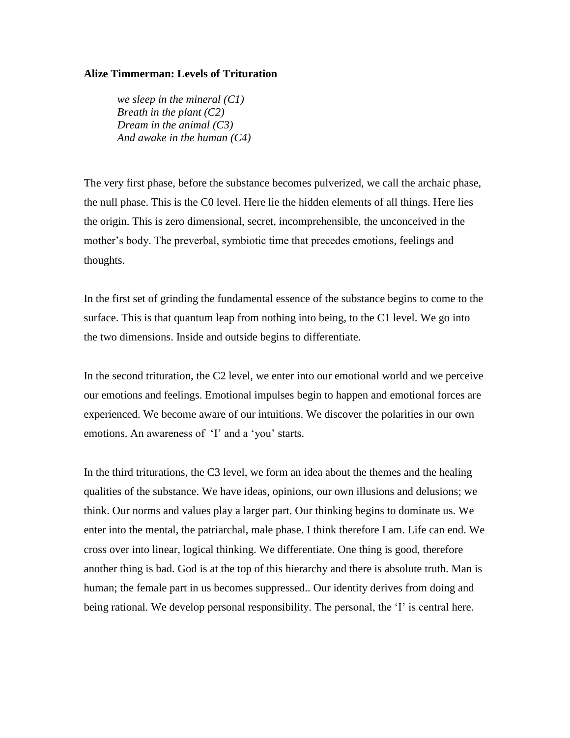## **Alize Timmerman: Levels of Trituration**

*we sleep in the mineral (C1) Breath in the plant (C2) Dream in the animal (C3) And awake in the human (C4)*

The very first phase, before the substance becomes pulverized, we call the archaic phase, the null phase. This is the C0 level. Here lie the hidden elements of all things. Here lies the origin. This is zero dimensional, secret, incomprehensible, the unconceived in the mother's body. The preverbal, symbiotic time that precedes emotions, feelings and thoughts.

In the first set of grinding the fundamental essence of the substance begins to come to the surface. This is that quantum leap from nothing into being, to the C1 level. We go into the two dimensions. Inside and outside begins to differentiate.

In the second trituration, the C2 level, we enter into our emotional world and we perceive our emotions and feelings. Emotional impulses begin to happen and emotional forces are experienced. We become aware of our intuitions. We discover the polarities in our own emotions. An awareness of 'I' and a 'you' starts.

In the third triturations, the C3 level, we form an idea about the themes and the healing qualities of the substance. We have ideas, opinions, our own illusions and delusions; we think. Our norms and values play a larger part. Our thinking begins to dominate us. We enter into the mental, the patriarchal, male phase. I think therefore I am. Life can end. We cross over into linear, logical thinking. We differentiate. One thing is good, therefore another thing is bad. God is at the top of this hierarchy and there is absolute truth. Man is human; the female part in us becomes suppressed.. Our identity derives from doing and being rational. We develop personal responsibility. The personal, the 'I' is central here.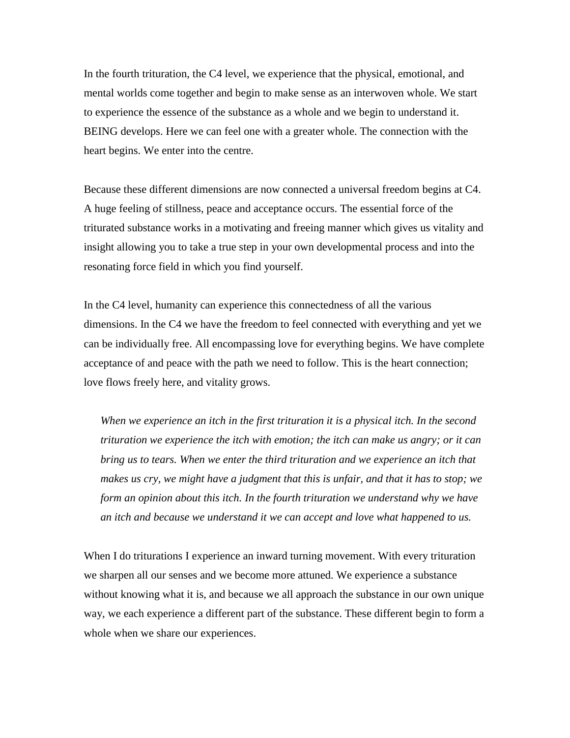In the fourth trituration, the C4 level, we experience that the physical, emotional, and mental worlds come together and begin to make sense as an interwoven whole. We start to experience the essence of the substance as a whole and we begin to understand it. BEING develops. Here we can feel one with a greater whole. The connection with the heart begins. We enter into the centre.

Because these different dimensions are now connected a universal freedom begins at C4. A huge feeling of stillness, peace and acceptance occurs. The essential force of the triturated substance works in a motivating and freeing manner which gives us vitality and insight allowing you to take a true step in your own developmental process and into the resonating force field in which you find yourself.

In the C4 level, humanity can experience this connectedness of all the various dimensions. In the C4 we have the freedom to feel connected with everything and yet we can be individually free. All encompassing love for everything begins. We have complete acceptance of and peace with the path we need to follow. This is the heart connection; love flows freely here, and vitality grows.

*When we experience an itch in the first trituration it is a physical itch. In the second trituration we experience the itch with emotion; the itch can make us angry; or it can bring us to tears. When we enter the third trituration and we experience an itch that makes us cry, we might have a judgment that this is unfair, and that it has to stop; we form an opinion about this itch. In the fourth trituration we understand why we have an itch and because we understand it we can accept and love what happened to us.* 

When I do triturations I experience an inward turning movement. With every trituration we sharpen all our senses and we become more attuned. We experience a substance without knowing what it is, and because we all approach the substance in our own unique way, we each experience a different part of the substance. These different begin to form a whole when we share our experiences.